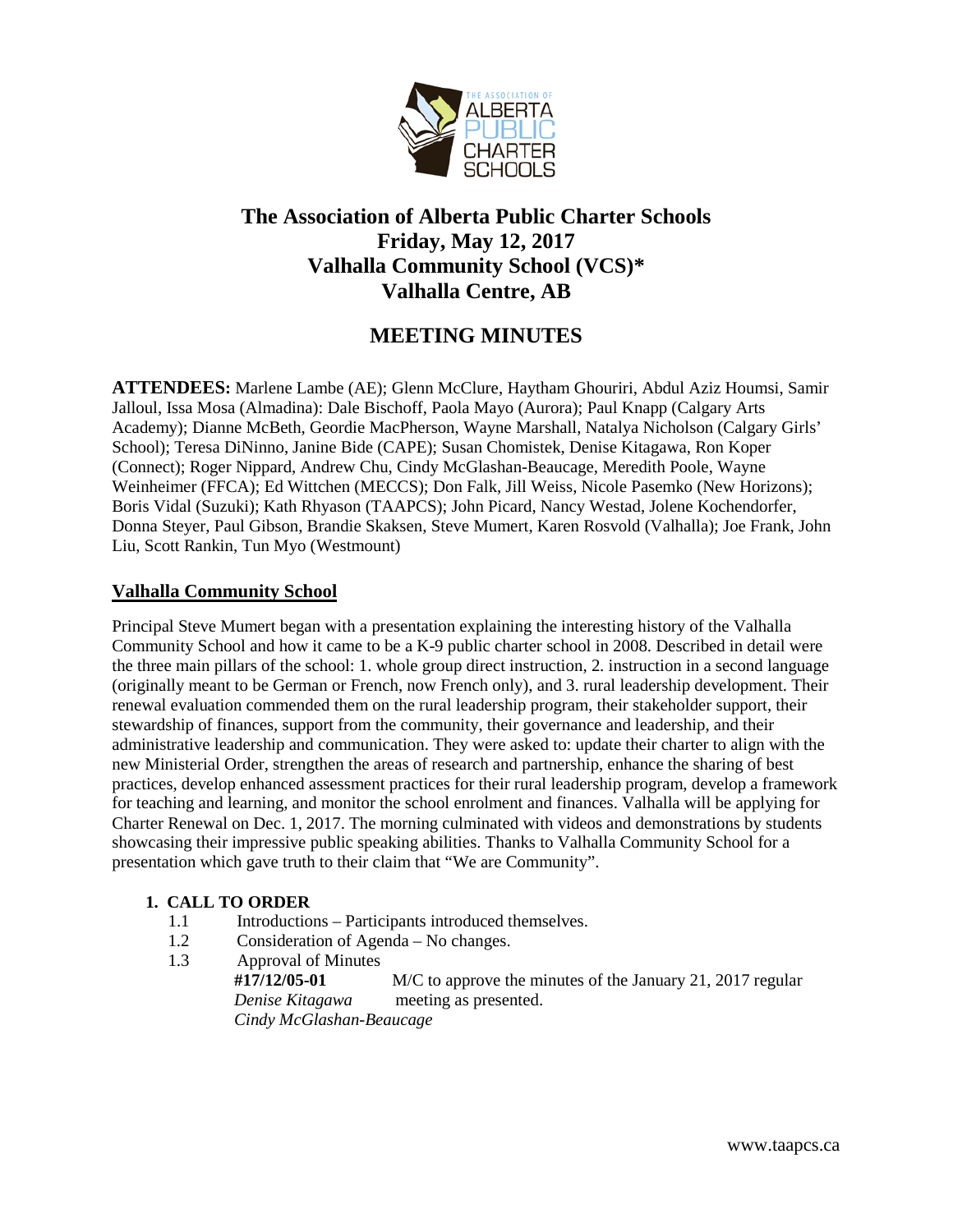

# **The Association of Alberta Public Charter Schools Friday, May 12, 2017 Valhalla Community School (VCS)\* Valhalla Centre, AB**

## **MEETING MINUTES**

**ATTENDEES:** Marlene Lambe (AE); Glenn McClure, Haytham Ghouriri, Abdul Aziz Houmsi, Samir Jalloul, Issa Mosa (Almadina): Dale Bischoff, Paola Mayo (Aurora); Paul Knapp (Calgary Arts Academy); Dianne McBeth, Geordie MacPherson, Wayne Marshall, Natalya Nicholson (Calgary Girls' School); Teresa DiNinno, Janine Bide (CAPE); Susan Chomistek, Denise Kitagawa, Ron Koper (Connect); Roger Nippard, Andrew Chu, Cindy McGlashan-Beaucage, Meredith Poole, Wayne Weinheimer (FFCA); Ed Wittchen (MECCS); Don Falk, Jill Weiss, Nicole Pasemko (New Horizons); Boris Vidal (Suzuki); Kath Rhyason (TAAPCS); John Picard, Nancy Westad, Jolene Kochendorfer, Donna Steyer, Paul Gibson, Brandie Skaksen, Steve Mumert, Karen Rosvold (Valhalla); Joe Frank, John Liu, Scott Rankin, Tun Myo (Westmount)

## **Valhalla Community School**

Principal Steve Mumert began with a presentation explaining the interesting history of the Valhalla Community School and how it came to be a K-9 public charter school in 2008. Described in detail were the three main pillars of the school: 1. whole group direct instruction, 2. instruction in a second language (originally meant to be German or French, now French only), and 3. rural leadership development. Their renewal evaluation commended them on the rural leadership program, their stakeholder support, their stewardship of finances, support from the community, their governance and leadership, and their administrative leadership and communication. They were asked to: update their charter to align with the new Ministerial Order, strengthen the areas of research and partnership, enhance the sharing of best practices, develop enhanced assessment practices for their rural leadership program, develop a framework for teaching and learning, and monitor the school enrolment and finances. Valhalla will be applying for Charter Renewal on Dec. 1, 2017. The morning culminated with videos and demonstrations by students showcasing their impressive public speaking abilities. Thanks to Valhalla Community School for a presentation which gave truth to their claim that "We are Community".

## **1. CALL TO ORDER**

- 1.1 Introductions Participants introduced themselves.
- 1.2 Consideration of Agenda No changes.
- 1.3 Approval of Minutes

 **#17/12/05-01** M/C to approve the minutes of the January 21, 2017 regular *Denise Kitagawa* meeting as presented.  *Cindy McGlashan-Beaucage*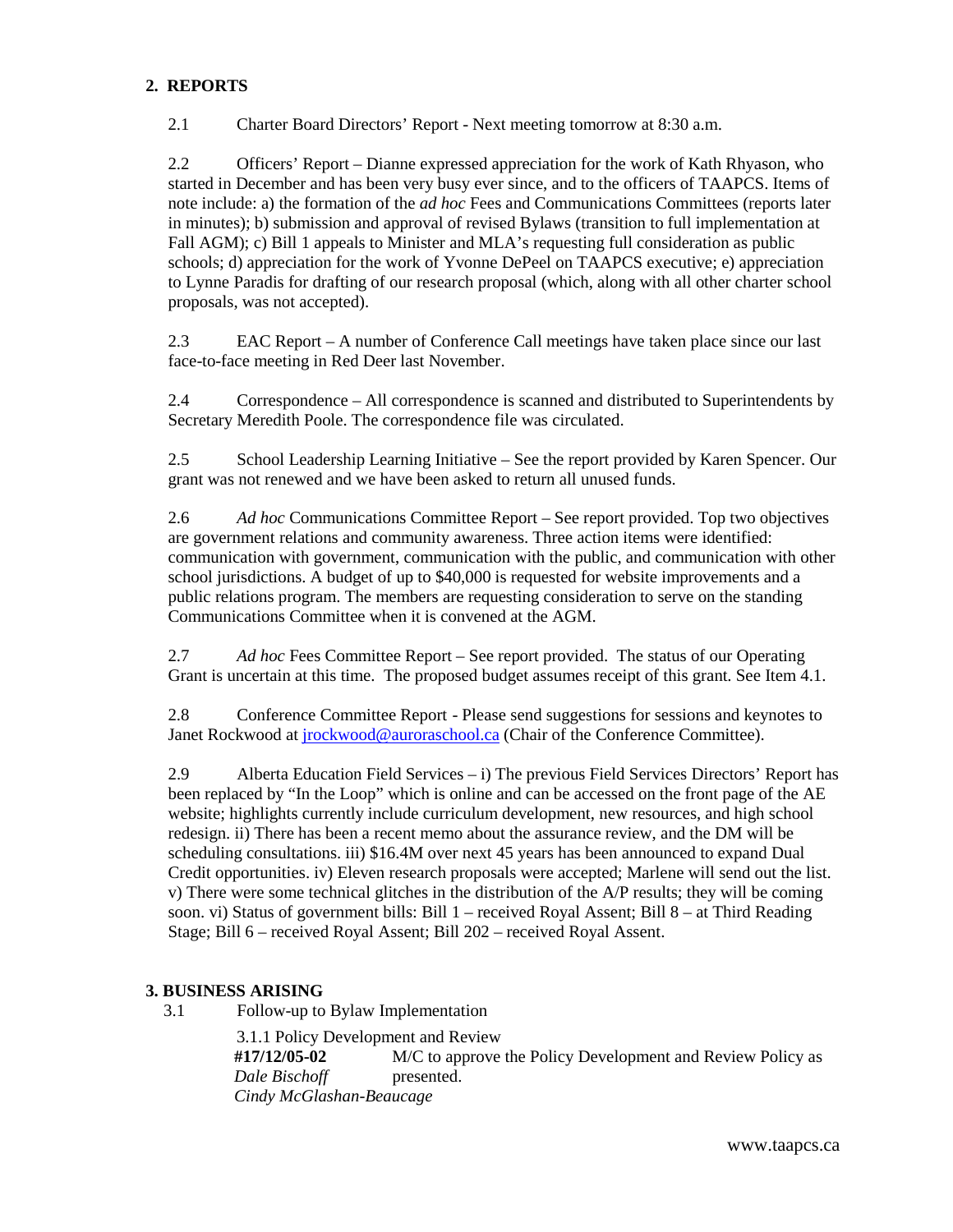## **2. REPORTS**

2.1 Charter Board Directors' Report - Next meeting tomorrow at 8:30 a.m.

2.2 Officers' Report – Dianne expressed appreciation for the work of Kath Rhyason, who started in December and has been very busy ever since, and to the officers of TAAPCS. Items of note include: a) the formation of the *ad hoc* Fees and Communications Committees (reports later in minutes); b) submission and approval of revised Bylaws (transition to full implementation at Fall AGM); c) Bill 1 appeals to Minister and MLA's requesting full consideration as public schools; d) appreciation for the work of Yvonne DePeel on TAAPCS executive; e) appreciation to Lynne Paradis for drafting of our research proposal (which, along with all other charter school proposals, was not accepted).

2.3 EAC Report – A number of Conference Call meetings have taken place since our last face-to-face meeting in Red Deer last November.

2.4 Correspondence – All correspondence is scanned and distributed to Superintendents by Secretary Meredith Poole. The correspondence file was circulated.

2.5 School Leadership Learning Initiative – See the report provided by Karen Spencer. Our grant was not renewed and we have been asked to return all unused funds.

2.6 *Ad hoc* Communications Committee Report – See report provided. Top two objectives are government relations and community awareness. Three action items were identified: communication with government, communication with the public, and communication with other school jurisdictions. A budget of up to \$40,000 is requested for website improvements and a public relations program. The members are requesting consideration to serve on the standing Communications Committee when it is convened at the AGM.

2.7 *Ad hoc* Fees Committee Report – See report provided. The status of our Operating Grant is uncertain at this time. The proposed budget assumes receipt of this grant. See Item 4.1.

2.8 Conference Committee Report - Please send suggestions for sessions and keynotes to Janet Rockwood at [jrockwood@auroraschool.ca](mailto:jrockwood@auroraschool.ca) (Chair of the Conference Committee).

2.9 Alberta Education Field Services – i) The previous Field Services Directors' Report has been replaced by "In the Loop" which is online and can be accessed on the front page of the AE website; highlights currently include curriculum development, new resources, and high school redesign. ii) There has been a recent memo about the assurance review, and the DM will be scheduling consultations. iii) \$16.4M over next 45 years has been announced to expand Dual Credit opportunities. iv) Eleven research proposals were accepted; Marlene will send out the list. v) There were some technical glitches in the distribution of the A/P results; they will be coming soon. vi) Status of government bills: Bill 1 – received Royal Assent; Bill 8 – at Third Reading Stage; Bill 6 – received Royal Assent; Bill 202 – received Royal Assent.

### **3. BUSINESS ARISING**

3.1 Follow-up to Bylaw Implementation

 3.1.1 Policy Development and Review  **#17/12/05-02** M/C to approve the Policy Development and Review Policy as *Dale Bischoff presented. Cindy McGlashan-Beaucage*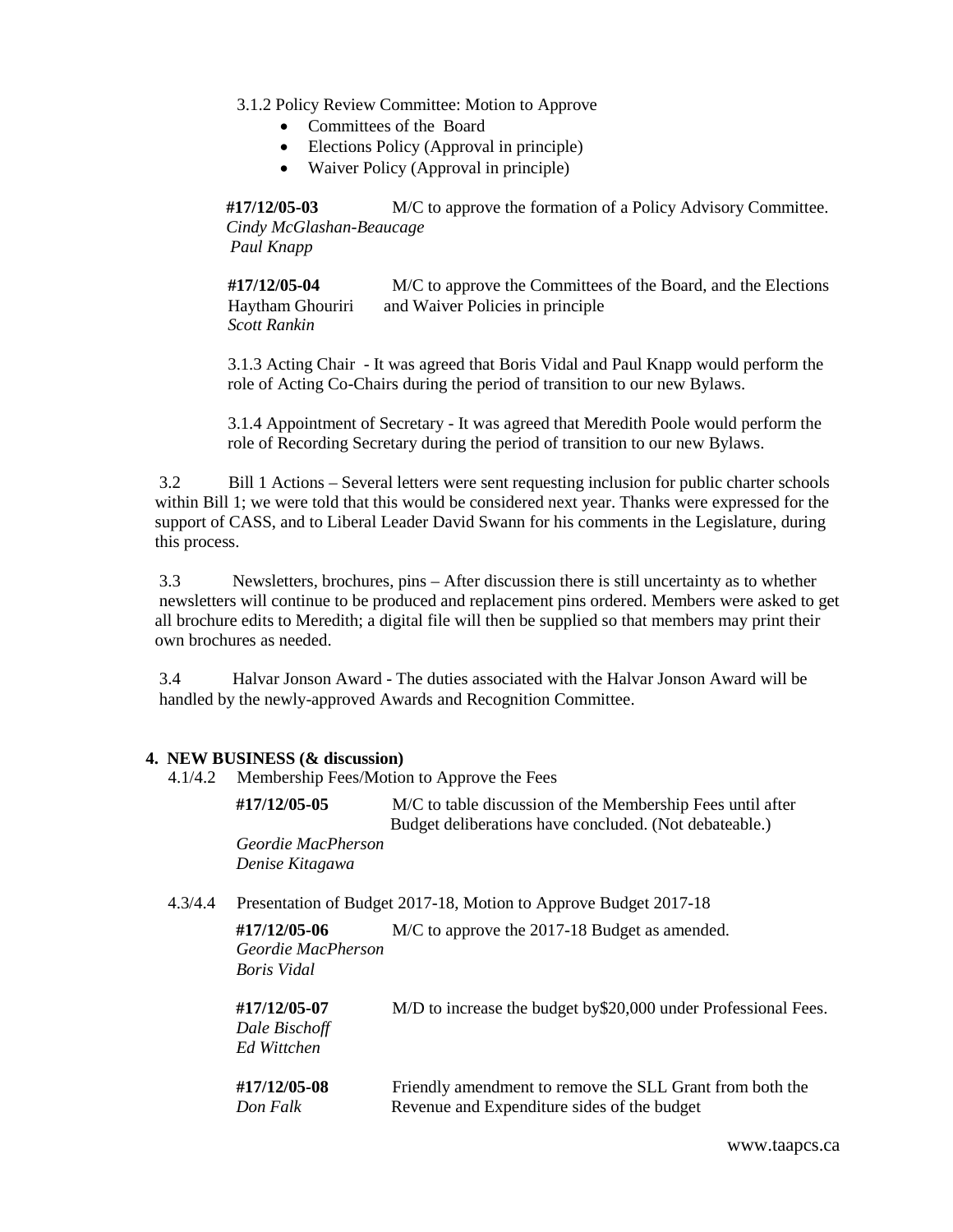3.1.2 Policy Review Committee: Motion to Approve

- Committees of the Board
- Elections Policy (Approval in principle)
- Waiver Policy (Approval in principle)

 **#17/12/05-03** M/C to approve the formation of a Policy Advisory Committee. *Cindy McGlashan-Beaucage Paul Knapp*

 **#17/12/05-04** M/C to approve the Committees of the Board, and the Elections Haytham Ghouriri and Waiver Policies in principle *Scott Rankin* 

 3.1.3 Acting Chair- It was agreed that Boris Vidal and Paul Knapp would perform the role of Acting Co-Chairs during the period of transition to our new Bylaws.

 3.1.4 Appointment of Secretary - It was agreed that Meredith Poole would perform the role of Recording Secretary during the period of transition to our new Bylaws.

 3.2 Bill 1 Actions – Several letters were sent requesting inclusion for public charter schools within Bill 1; we were told that this would be considered next year. Thanks were expressed for the support of CASS, and to Liberal Leader David Swann for his comments in the Legislature, during this process.

 3.3 Newsletters, brochures, pins – After discussion there is still uncertainty as to whether newsletters will continue to be produced and replacement pins ordered. Members were asked to get all brochure edits to Meredith; a digital file will then be supplied so that members may print their own brochures as needed.

 3.4 Halvar Jonson Award - The duties associated with the Halvar Jonson Award will be handled by the newly-approved Awards and Recognition Committee.

#### **4. NEW BUSINESS (& discussion)**

4.1/4.2 Membership Fees/Motion to Approve the Fees

 **#17/12/05-05** M/C to table discussion of the Membership Fees until after Budget deliberations have concluded. (Not debateable.)  *Geordie MacPherson Denise Kitagawa*

4.3/4.4 Presentation of Budget 2017-18, Motion to Approve Budget 2017-18

| #17/12/05-06<br>Geordie MacPherson<br>Boris Vidal | M/C to approve the 2017-18 Budget as amended.                                                           |
|---------------------------------------------------|---------------------------------------------------------------------------------------------------------|
| #17/12/05-07<br>Dale Bischoff<br>Ed Wittchen      | M/D to increase the budget by \$20,000 under Professional Fees.                                         |
| #17/12/05-08<br>Don Falk                          | Friendly amendment to remove the SLL Grant from both the<br>Revenue and Expenditure sides of the budget |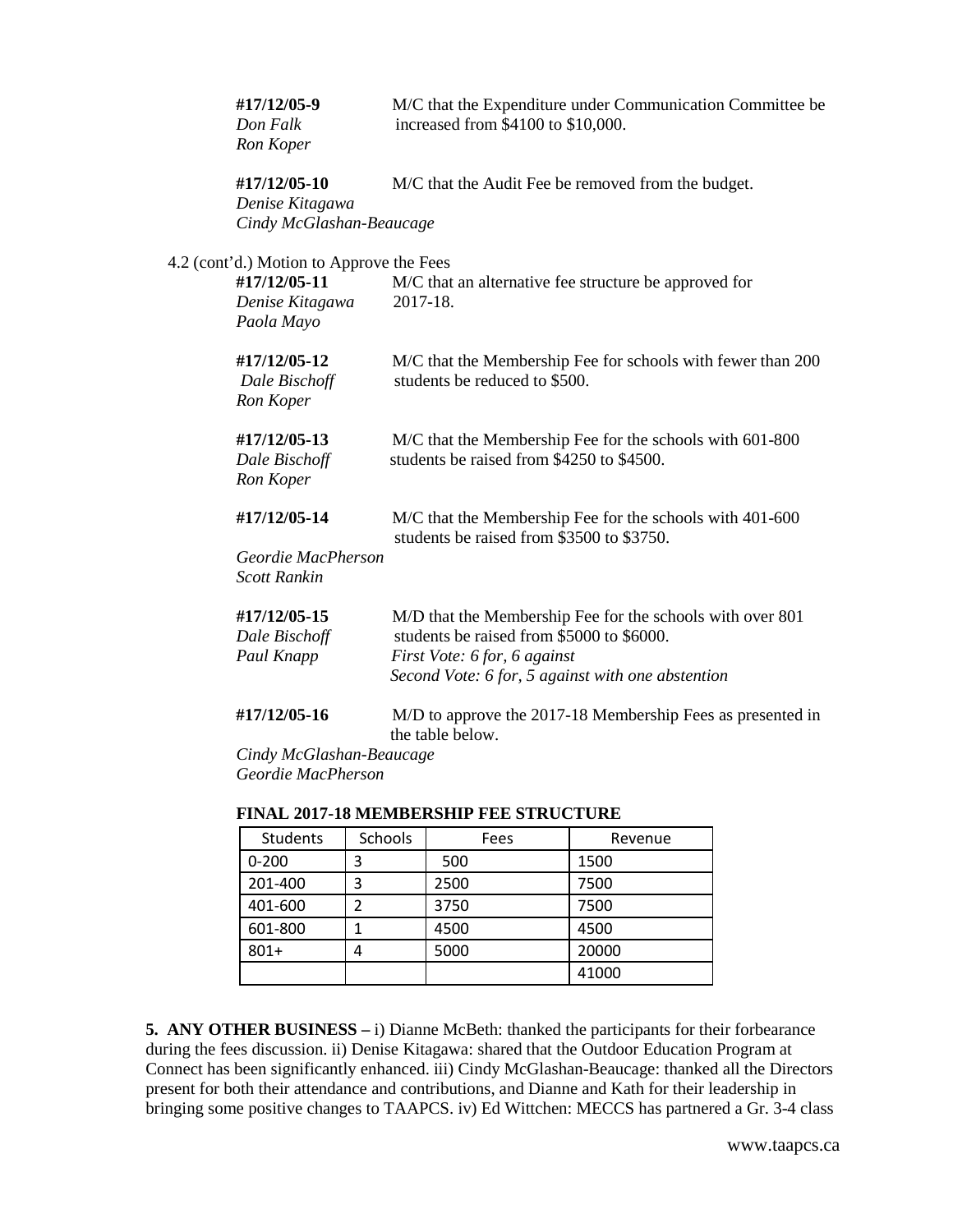| #17/12/05-9<br>Don Falk<br>Ron Koper                                                      | M/C that the Expenditure under Communication Committee be<br>increased from \$4100 to \$10,000.                                                                                             |
|-------------------------------------------------------------------------------------------|---------------------------------------------------------------------------------------------------------------------------------------------------------------------------------------------|
| #17/12/05-10<br>Denise Kitagawa<br>Cindy McGlashan-Beaucage                               | M/C that the Audit Fee be removed from the budget.                                                                                                                                          |
| 4.2 (cont'd.) Motion to Approve the Fees<br>#17/12/05-11<br>Denise Kitagawa<br>Paola Mayo | M/C that an alternative fee structure be approved for<br>2017-18.                                                                                                                           |
| #17/12/05-12<br>Dale Bischoff<br>Ron Koper                                                | M/C that the Membership Fee for schools with fewer than 200<br>students be reduced to \$500.                                                                                                |
| #17/12/05-13<br>Dale Bischoff<br>Ron Koper                                                | M/C that the Membership Fee for the schools with 601-800<br>students be raised from \$4250 to \$4500.                                                                                       |
| #17/12/05-14<br>Geordie MacPherson<br><b>Scott Rankin</b>                                 | M/C that the Membership Fee for the schools with 401-600<br>students be raised from \$3500 to \$3750.                                                                                       |
| #17/12/05-15<br>Dale Bischoff<br>Paul Knapp                                               | M/D that the Membership Fee for the schools with over 801<br>students be raised from \$5000 to \$6000.<br>First Vote: 6 for, 6 against<br>Second Vote: 6 for, 5 against with one abstention |
| #17/12/05-16                                                                              | M/D to approve the 2017-18 Membership Fees as presented in<br>the table below.                                                                                                              |
| Cindy McGlashan-Beaucage                                                                  |                                                                                                                                                                                             |

 *Geordie MacPherson*

| Students  | <b>Schools</b> | Fees | Revenue |
|-----------|----------------|------|---------|
| $0 - 200$ | 3              | 500  | 1500    |
| 201-400   | 3              | 2500 | 7500    |
| 401-600   | 7              | 3750 | 7500    |
| 601-800   |                | 4500 | 4500    |
| $801+$    | 4              | 5000 | 20000   |
|           |                |      | 41000   |

### **FINAL 2017-18 MEMBERSHIP FEE STRUCTURE**

**5. ANY OTHER BUSINESS –** i) Dianne McBeth: thanked the participants for their forbearance during the fees discussion. ii) Denise Kitagawa: shared that the Outdoor Education Program at Connect has been significantly enhanced. iii) Cindy McGlashan-Beaucage: thanked all the Directors present for both their attendance and contributions, and Dianne and Kath for their leadership in bringing some positive changes to TAAPCS. iv) Ed Wittchen: MECCS has partnered a Gr. 3-4 class